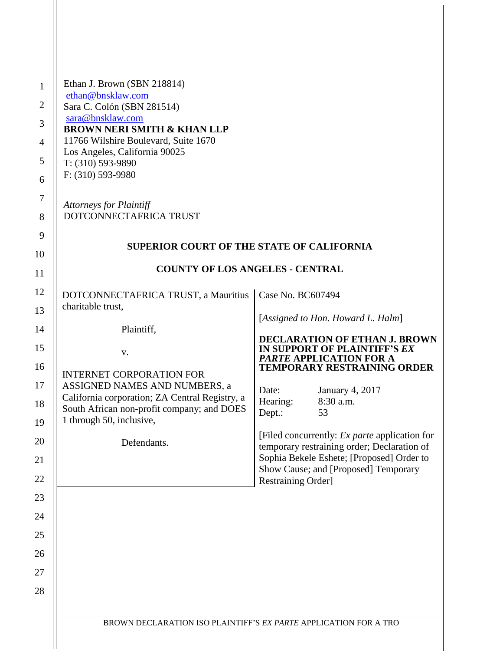| Ethan J. Brown (SBN 218814)<br>ethan@bnsklaw.com<br>Sara C. Colón (SBN 281514)<br>sara@bnsklaw.com<br><b>BROWN NERI SMITH &amp; KHAN LLP</b><br>11766 Wilshire Boulevard, Suite 1670<br>Los Angeles, California 90025<br>$T: (310) 593-9890$<br>$F: (310) 593-9980$<br><b>Attorneys for Plaintiff</b><br>DOTCONNECTAFRICA TRUST |                                                                                               |                                                                                                    |
|---------------------------------------------------------------------------------------------------------------------------------------------------------------------------------------------------------------------------------------------------------------------------------------------------------------------------------|-----------------------------------------------------------------------------------------------|----------------------------------------------------------------------------------------------------|
|                                                                                                                                                                                                                                                                                                                                 |                                                                                               |                                                                                                    |
| <b>SUPERIOR COURT OF THE STATE OF CALIFORNIA</b>                                                                                                                                                                                                                                                                                |                                                                                               |                                                                                                    |
| <b>COUNTY OF LOS ANGELES - CENTRAL</b>                                                                                                                                                                                                                                                                                          |                                                                                               |                                                                                                    |
| DOTCONNECTAFRICA TRUST, a Mauritius                                                                                                                                                                                                                                                                                             | Case No. BC607494                                                                             |                                                                                                    |
|                                                                                                                                                                                                                                                                                                                                 |                                                                                               | [Assigned to Hon. Howard L. Halm]                                                                  |
| Plaintiff,                                                                                                                                                                                                                                                                                                                      |                                                                                               | <b>DECLARATION OF ETHAN J. BROWN</b>                                                               |
| V.                                                                                                                                                                                                                                                                                                                              |                                                                                               | IN SUPPORT OF PLAINTIFF'S EX<br><b>PARTE APPLICATION FOR A</b>                                     |
| <b>INTERNET CORPORATION FOR</b>                                                                                                                                                                                                                                                                                                 |                                                                                               | <b>TEMPORARY RESTRAINING ORDER</b>                                                                 |
| California corporation; ZA Central Registry, a                                                                                                                                                                                                                                                                                  | Date:                                                                                         | January 4, 2017<br>8:30 a.m.                                                                       |
| South African non-profit company; and DOES                                                                                                                                                                                                                                                                                      | Dept.:                                                                                        | 53                                                                                                 |
|                                                                                                                                                                                                                                                                                                                                 |                                                                                               | [Filed concurrently: Ex parte application for                                                      |
|                                                                                                                                                                                                                                                                                                                                 |                                                                                               | temporary restraining order; Declaration of<br>Sophia Bekele Eshete; [Proposed] Order to           |
|                                                                                                                                                                                                                                                                                                                                 |                                                                                               | Show Cause; and [Proposed] Temporary                                                               |
|                                                                                                                                                                                                                                                                                                                                 |                                                                                               |                                                                                                    |
|                                                                                                                                                                                                                                                                                                                                 |                                                                                               |                                                                                                    |
|                                                                                                                                                                                                                                                                                                                                 |                                                                                               |                                                                                                    |
|                                                                                                                                                                                                                                                                                                                                 |                                                                                               |                                                                                                    |
|                                                                                                                                                                                                                                                                                                                                 |                                                                                               |                                                                                                    |
|                                                                                                                                                                                                                                                                                                                                 |                                                                                               |                                                                                                    |
|                                                                                                                                                                                                                                                                                                                                 |                                                                                               |                                                                                                    |
|                                                                                                                                                                                                                                                                                                                                 |                                                                                               |                                                                                                    |
|                                                                                                                                                                                                                                                                                                                                 | charitable trust,<br>ASSIGNED NAMES AND NUMBERS, a<br>1 through 50, inclusive,<br>Defendants. | Hearing:<br>Restraining Order]<br>BROWN DECLARATION ISO PLAINTIFF'S EX PARTE APPLICATION FOR A TRO |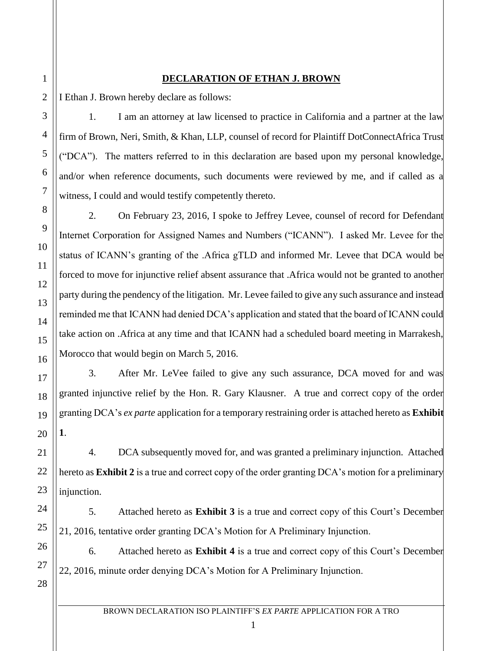## **DECLARATION OF ETHAN J. BROWN**

I Ethan J. Brown hereby declare as follows:

1. I am an attorney at law licensed to practice in California and a partner at the law firm of Brown, Neri, Smith, & Khan, LLP, counsel of record for Plaintiff DotConnectAfrica Trust ("DCA"). The matters referred to in this declaration are based upon my personal knowledge, and/or when reference documents, such documents were reviewed by me, and if called as a witness, I could and would testify competently thereto.

2. On February 23, 2016, I spoke to Jeffrey Levee, counsel of record for Defendant Internet Corporation for Assigned Names and Numbers ("ICANN"). I asked Mr. Levee for the status of ICANN's granting of the .Africa gTLD and informed Mr. Levee that DCA would be forced to move for injunctive relief absent assurance that .Africa would not be granted to another party during the pendency of the litigation. Mr. Levee failed to give any such assurance and instead reminded me that ICANN had denied DCA's application and stated that the board of ICANN could take action on .Africa at any time and that ICANN had a scheduled board meeting in Marrakesh, Morocco that would begin on March 5, 2016.

3. After Mr. LeVee failed to give any such assurance, DCA moved for and was granted injunctive relief by the Hon. R. Gary Klausner. A true and correct copy of the order granting DCA's *ex parte* application for a temporary restraining order is attached hereto as **Exhibit 1**.

4. DCA subsequently moved for, and was granted a preliminary injunction. Attached hereto as **Exhibit 2** is a true and correct copy of the order granting DCA's motion for a preliminary injunction.

5. Attached hereto as **Exhibit 3** is a true and correct copy of this Court's December 21, 2016, tentative order granting DCA's Motion for A Preliminary Injunction.

6. Attached hereto as **Exhibit 4** is a true and correct copy of this Court's December 22, 2016, minute order denying DCA's Motion for A Preliminary Injunction.

1

2

3

4

5

6

7

8

9

10

11

12

13

14

15

16